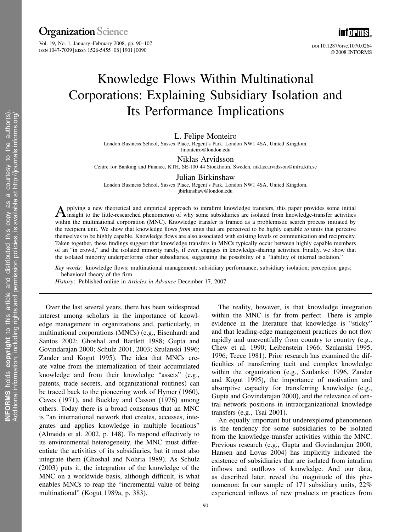**S**<br>Vol. 19, No. 1, January–February 2008, pp. 90–107 ISSN 1047-7039 | EISSN 1526-5455 | 08 | 1901 | 0090

# Knowledge Flows Within Multinational Corporations: Explaining Subsidiary Isolation and Its Performance Implications

L. Felipe Monteiro

London Business School, Sussex Place, Regent's Park, London NW1 4SA, United Kingdom, fmonteiro@london.edu

Niklas Arvidsson

Centre for Banking and Finance, KTH, SE-100 44 Stockholm, Sweden, niklas.arvidsson@infra.kth.se

Julian Birkinshaw

London Business School, Sussex Place, Regent's Park, London NW1 4SA, United Kingdom,

jbirkinshaw@london.edu

Applying a new theoretical and empirical approach to intrafirm knowledge transfers, this paper provides some initial<br>Ainsight to the little-researched phenomenon of why some subsidiaries are isolated from knowledge-transfe within the multinational corporation (MNC). Knowledge transfer is framed as a problemistic search process initiated by the recipient unit. We show that knowledge flows from units that are perceived to be highly capable to units that perceive themselves to be highly capable. Knowledge flows are also associated with existing levels of communication and reciprocity. Taken together, these findings suggest that knowledge transfers in MNCs typically occur between highly capable members of an "in crowd," and the isolated minority rarely, if ever, engages in knowledge-sharing activities. Finally, we show that the isolated minority underperforms other subsidiaries, suggesting the possibility of a "liability of internal isolation."

Key words: knowledge flows; multinational management; subsidiary performance; subsidiary isolation; perception gaps; behavioral theory of the firm

History: Published online in Articles in Advance December 17, 2007.

Over the last several years, there has been widespread interest among scholars in the importance of knowledge management in organizations and, particularly, in multinational corporations (MNCs) (e.g., Eisenhardt and Santos 2002; Ghoshal and Bartlett 1988; Gupta and Govindarajan 2000; Schulz 2001, 2003; Szulanski 1996; Zander and Kogut 1995). The idea that MNCs create value from the internalization of their accumulated knowledge and from their knowledge "assets" (e.g., patents, trade secrets, and organizational routines) can be traced back to the pioneering work of Hymer (1960), Caves (1971), and Buckley and Casson (1976) among others. Today there is a broad consensus that an MNC is "an international network that creates, accesses, integrates and applies knowledge in multiple locations" (Almeida et al. 2002, p. 148). To respond effectively to its environmental heterogeneity, the MNC must differentiate the activities of its subsidiaries, but it must also integrate them (Ghoshal and Nohria 1989). As Schulz (2003) puts it, the integration of the knowledge of the MNC on a worldwide basis, although difficult, is what enables MNCs to reap the "incremental value of being multinational" (Kogut 1989a, p. 383).

The reality, however, is that knowledge integration within the MNC is far from perfect. There is ample evidence in the literature that knowledge is "sticky" and that leading-edge management practices do not flow rapidly and uneventfully from country to country (e.g., Chew et al. 1990; Leibenstein 1966; Szulanski 1995, 1996; Teece 1981). Prior research has examined the difficulties of transferring tacit and complex knowledge within the organization (e.g., Szulanksi 1996, Zander and Kogut 1995), the importance of motivation and absorptive capacity for transferring knowledge (e.g., Gupta and Govindarajan 2000), and the relevance of central network positions in intraorganizational knowledge transfers (e.g., Tsai 2001).

An equally important but underexplored phenomenon is the tendency for some subsidiaries to be isolated from the knowledge-transfer activities within the MNC. Previous research (e.g., Gupta and Govindarajan 2000, Hansen and Lovas 2004) has implicitly indicated the existence of subsidiaries that are isolated from intrafirm inflows and outflows of knowledge. And our data, as described later, reveal the magnitude of this phenomenon: In our sample of 171 subsidiary units, 22% experienced inflows of new products or practices from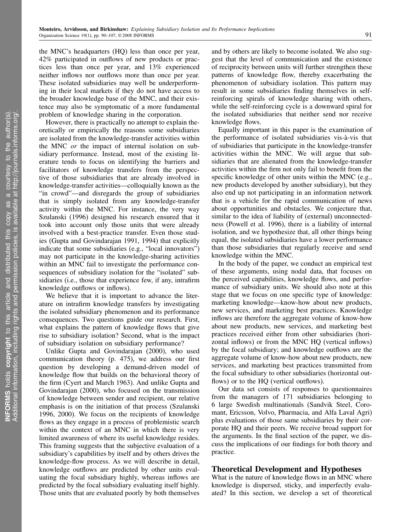the MNC's headquarters (HQ) less than once per year, 42% participated in outflows of new products or practices less than once per year, and 13% experienced neither inflows nor outflows more than once per year. These isolated subsidiaries may well be underperforming in their local markets if they do not have access to the broader knowledge base of the MNC, and their existence may also be symptomatic of a more fundamental problem of knowledge sharing in the corporation.

However, there is practically no attempt to explain theoretically or empirically the reasons some subsidiaries are isolated from the knowledge-transfer activities within the MNC or the impact of internal isolation on subsidiary performance. Instead, most of the existing literature tends to focus on identifying the barriers and facilitators of knowledge transfers from the perspective of those subsidiaries that are already involved in knowledge-transfer activities—colloquially known as the "in crowd"—and disregards the group of subsidiaries that is simply isolated from any knowledge-transfer activity within the MNC. For instance, the very way Szulanski (1996) designed his research ensured that it took into account only those units that were already involved with a best-practice transfer. Even those studies (Gupta and Govindarajan 1991, 1994) that explicitly indicate that some subsidiaries (e.g., "local innovators") may not participate in the knowledge-sharing activities within an MNC fail to investigate the performance consequences of subsidiary isolation for the "isolated" subsidiaries (i.e., those that experience few, if any, intrafirm knowledge outflows or inflows).

We believe that it is important to advance the literature on intrafirm knowledge transfers by investigating the isolated subsidiary phenomenon and its performance consequences. Two questions guide our research. First, what explains the pattern of knowledge flows that give rise to subsidiary isolation? Second, what is the impact of subsidiary isolation on subsidiary performance?

Unlike Gupta and Govindarajan (2000), who used communication theory (p. 475), we address our first question by developing a demand-driven model of knowledge flow that builds on the behavioral theory of the firm (Cyert and March 1963). And unlike Gupta and Govindarajan (2000), who focused on the transmission of knowledge between sender and recipient, our relative emphasis is on the initiation of that process (Szulanski 1996, 2000). We focus on the recipients of knowledge flows as they engage in a process of problemistic search within the context of an MNC in which there is very limited awareness of where its useful knowledge resides. This framing suggests that the subjective evaluation of a subsidiary's capabilities by itself and by others drives the knowledge-flow process. As we will describe in detail, knowledge outflows are predicted by other units evaluating the focal subsidiary highly, whereas inflows are predicted by the focal subsidiary evaluating itself highly. Those units that are evaluated poorly by both themselves

and by others are likely to become isolated. We also suggest that the level of communication and the existence of reciprocity between units will further strengthen these patterns of knowledge flow, thereby exacerbating the phenomenon of subsidiary isolation. This pattern may result in some subsidiaries finding themselves in selfreinforcing spirals of knowledge sharing with others, while the self-reinforcing cycle is a downward spiral for the isolated subsidiaries that neither send nor receive knowledge flows.

Equally important in this paper is the examination of the performance of isolated subsidiaries vis-à-vis that of subsidiaries that participate in the knowledge-transfer activities within the MNC. We will argue that subsidiaries that are alienated from the knowledge-transfer activities within the firm not only fail to benefit from the specific knowledge of other units within the MNC (e.g., new products developed by another subsidiary), but they also end up not participating in an information network that is a vehicle for the rapid communication of news about opportunities and obstacles. We conjecture that, similar to the idea of liability of (external) unconnectedness (Powell et al. 1996), there is a liability of internal isolation, and we hypothesize that, all other things being equal, the isolated subsidiaries have a lower performance than those subsidiaries that regularly receive and send knowledge within the MNC.

In the body of the paper, we conduct an empirical test of these arguments, using nodal data, that focuses on the perceived capabilities, knowledge flows, and performance of subsidiary units. We should also note at this stage that we focus on one specific type of knowledge: marketing knowledge—know-how about new products, new services, and marketing best practices. Knowledge inflows are therefore the aggregate volume of know-how about new products, new services, and marketing best practices received either from other subsidiaries (horizontal inflows) or from the MNC HQ (vertical inflows) by the focal subsidiary; and knowledge outflows are the aggregate volume of know-how about new products, new services, and marketing best practices transmitted from the focal subsidiary to other subsidiaries (horizontal outflows) or to the HQ (vertical outflows).

Our data set consists of responses to questionnaires from the managers of 171 subsidiaries belonging to 6 large Swedish multinationals (Sandvik Steel, Coromant, Ericsson, Volvo, Pharmacia, and Alfa Laval Agri) plus evaluations of those same subsidiaries by their corporate HQ and their peers. We receive broad support for the arguments. In the final section of the paper, we discuss the implications of our findings for both theory and practice.

# Theoretical Development and Hypotheses

What is the nature of knowledge flows in an MNC where knowledge is dispersed, sticky, and imperfectly evaluated? In this section, we develop a set of theoretical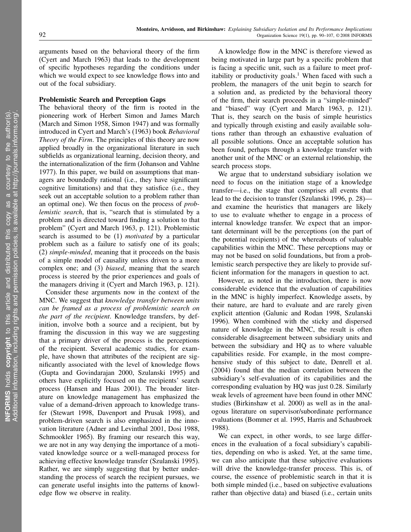arguments based on the behavioral theory of the firm (Cyert and March 1963) that leads to the development of specific hypotheses regarding the conditions under which we would expect to see knowledge flows into and out of the focal subsidiary.

# Problemistic Search and Perception Gaps

The behavioral theory of the firm is rooted in the pioneering work of Herbert Simon and James March (March and Simon 1958, Simon 1947) and was formally introduced in Cyert and March's (1963) book Behavioral Theory of the Firm. The principles of this theory are now applied broadly in the organizational literature in such subfields as organizational learning, decision theory, and the internationalization of the firm (Johanson and Vahlne 1977). In this paper, we build on assumptions that managers are boundedly rational (i.e., they have significant cognitive limitations) and that they satisfice (i.e., they seek out an acceptable solution to a problem rather than an optimal one). We then focus on the process of problemistic search, that is, "search that is stimulated by a problem and is directed toward finding a solution to that problem" (Cyert and March 1963, p. 121). Problemistic search is assumed to be (1) motivated by a particular problem such as a failure to satisfy one of its goals; (2) simple-minded, meaning that it proceeds on the basis of a simple model of causality unless driven to a more complex one; and (3) biased, meaning that the search process is steered by the prior experiences and goals of the managers driving it (Cyert and March 1963, p. 121).

Consider these arguments now in the context of the MNC. We suggest that knowledge transfer between units can be framed as a process of problemistic search on the part of the recipient. Knowledge transfers, by definition, involve both a source and a recipient, but by framing the discussion in this way we are suggesting that a primary driver of the process is the perceptions of the recipient. Several academic studies, for example, have shown that attributes of the recipient are significantly associated with the level of knowledge flows (Gupta and Govindarajan 2000, Szulanski 1995) and others have explicitly focused on the recipients' search process (Hansen and Haas 2001). The broader literature on knowledge management has emphasized the value of a demand-driven approach to knowledge transfer (Stewart 1998, Davenport and Prusak 1998), and problem-driven search is also emphasized in the innovation literature (Adner and Levinthal 2001, Dosi 1988, Schmookler 1965). By framing our research this way, we are not in any way denying the importance of a motivated knowledge source or a well-managed process for achieving effective knowledge transfer (Szulanski 1995). Rather, we are simply suggesting that by better understanding the process of search the recipient pursues, we can generate useful insights into the patterns of knowledge flow we observe in reality.

A knowledge flow in the MNC is therefore viewed as being motivated in large part by a specific problem that is facing a specific unit, such as a failure to meet profitability or productivity goals.<sup>1</sup> When faced with such a problem, the managers of the unit begin to search for a solution and, as predicted by the behavioral theory of the firm, their search proceeds in a "simple-minded" and "biased" way (Cyert and March 1963, p. 121). That is, they search on the basis of simple heuristics and typically through existing and easily available solutions rather than through an exhaustive evaluation of all possible solutions. Once an acceptable solution has been found, perhaps through a knowledge transfer with another unit of the MNC or an external relationship, the search process stops.

We argue that to understand subsidiary isolation we need to focus on the initiation stage of a knowledge transfer—i.e., the stage that comprises all events that lead to the decision to transfer (Szulanski 1996, p. 28) and examine the heuristics that managers are likely to use to evaluate whether to engage in a process of internal knowledge transfer. We expect that an important determinant will be the perceptions (on the part of the potential recipients) of the whereabouts of valuable capabilities within the MNC. These perceptions may or may not be based on solid foundations, but from a problemistic search perspective they are likely to provide sufficient information for the managers in question to act.

However, as noted in the introduction, there is now considerable evidence that the evaluation of capabilities in the MNC is highly imperfect. Knowledge assets, by their nature, are hard to evaluate and are rarely given explicit attention (Galunic and Rodan 1998, Szulanski 1996). When combined with the sticky and dispersed nature of knowledge in the MNC, the result is often considerable disagreement between subsidiary units and between the subsidiary and HQ as to where valuable capabilities reside. For example, in the most comprehensive study of this subject to date, Denrell et al. (2004) found that the median correlation between the subsidiary's self-evaluation of its capabilities and the corresponding evaluation by HQ was just 0.28. Similarly weak levels of agreement have been found in other MNC studies (Birkinshaw et al. 2000) as well as in the analogous literature on supervisor/subordinate performance evaluations (Bommer et al. 1995, Harris and Schaubroek 1988).

We can expect, in other words, to see large differences in the evaluation of a focal subsidiary's capabilities, depending on who is asked. Yet, at the same time, we can also anticipate that these subjective evaluations will drive the knowledge-transfer process. This is, of course, the essence of problemistic search in that it is both simple minded (i.e., based on subjective evaluations rather than objective data) and biased (i.e., certain units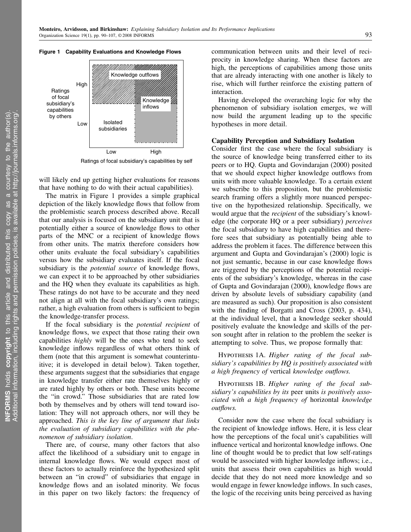#### Figure 1 Capability Evaluations and Knowledge Flows



Ratings of focal subsidiary's capabilities by self

will likely end up getting higher evaluations for reasons that have nothing to do with their actual capabilities).

The matrix in Figure 1 provides a simple graphical depiction of the likely knowledge flows that follow from the problemistic search process described above. Recall that our analysis is focused on the subsidiary unit that is potentially either a source of knowledge flows to other parts of the MNC or a recipient of knowledge flows from other units. The matrix therefore considers how other units evaluate the focal subsidiary's capabilities versus how the subsidiary evaluates itself. If the focal subsidiary is the *potential source* of knowledge flows, we can expect it to be approached by other subsidiaries and the HQ when they evaluate its capabilities as high. These ratings do not have to be accurate and they need not align at all with the focal subsidiary's own ratings; rather, a high evaluation from others is sufficient to begin the knowledge-transfer process.

If the focal subsidiary is the potential recipient of knowledge flows, we expect that those rating their own capabilities highly will be the ones who tend to seek knowledge inflows regardless of what others think of them (note that this argument is somewhat counterintuitive; it is developed in detail below). Taken together, these arguments suggest that the subsidiaries that engage in knowledge transfer either rate themselves highly or are rated highly by others or both. These units become the "in crowd." Those subsidiaries that are rated low both by themselves and by others will tend toward isolation: They will not approach others, nor will they be approached. This is the key line of argument that links the evaluation of subsidiary capabilities with the phenomenon of subsidiary isolation.

There are, of course, many other factors that also affect the likelihood of a subsidiary unit to engage in internal knowledge flows. We would expect most of these factors to actually reinforce the hypothesized split between an "in crowd" of subsidiaries that engage in knowledge flows and an isolated minority. We focus in this paper on two likely factors: the frequency of

communication between units and their level of reciprocity in knowledge sharing. When these factors are high, the perceptions of capabilities among those units that are already interacting with one another is likely to rise, which will further reinforce the existing pattern of interaction.

Having developed the overarching logic for why the phenomenon of subsidiary isolation emerges, we will now build the argument leading up to the specific hypotheses in more detail.

#### Capability Perception and Subsidiary Isolation

Consider first the case where the focal subsidiary is the source of knowledge being transferred either to its peers or to HQ. Gupta and Govindarajan (2000) posited that we should expect higher knowledge outflows from units with more valuable knowledge. To a certain extent we subscribe to this proposition, but the problemistic search framing offers a slightly more nuanced perspective on the hypothesized relationship. Specifically, we would argue that the *recipient* of the subsidiary's knowledge (the corporate HQ or a peer subsidiary) perceives the focal subsidiary to have high capabilities and therefore sees that subsidiary as potentially being able to address the problem it faces. The difference between this argument and Gupta and Govindarajan's (2000) logic is not just semantic, because in our case knowledge flows are triggered by the perceptions of the potential recipients of the subsidiary's knowledge, whereas in the case of Gupta and Govindarajan (2000), knowledge flows are driven by absolute levels of subsidiary capability (and are measured as such). Our proposition is also consistent with the finding of Borgatti and Cross (2003, p. 434), at the individual level, that a knowledge seeker should positively evaluate the knowledge and skills of the person sought after in relation to the problem the seeker is attempting to solve. Thus, we propose formally that:

Hypothesis 1A. Higher rating of the focal subsidiary's capabilities by HO is positively associated with a high frequency of vertical knowledge outflows.

Hypothesis 1B. Higher rating of the focal subsidiary's capabilities by its peer units is positively associated with a high frequency of horizontal knowledge outflows.

Consider now the case where the focal subsidiary is the recipient of knowledge inflows. Here, it is less clear how the perceptions of the focal unit's capabilities will influence vertical and horizontal knowledge inflows. One line of thought would be to predict that low self-ratings would be associated with higher knowledge inflows; i.e., units that assess their own capabilities as high would decide that they do not need more knowledge and so would engage in fewer knowledge inflows. In such cases, the logic of the receiving units being perceived as having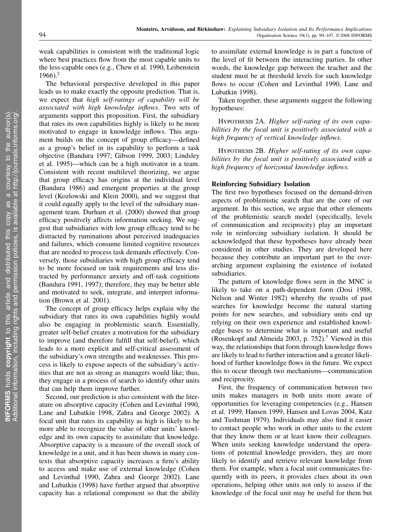weak capabilities is consistent with the traditional logic where best practices flow from the most capable units to the less-capable ones (e.g., Chew et al. 1990, Leibenstein  $1966$ ).<sup>2</sup>

The behavioral perspective developed in this paper leads us to make exactly the opposite prediction. That is, we expect that high self-ratings of capability will be associated with high knowledge inflows. Two sets of arguments support this proposition. First, the subsidiary that rates its own capabilities highly is likely to be more motivated to engage in knowledge inflows. This argument builds on the concept of group efficacy—defined as a group's belief in its capability to perform a task objective (Bandura 1997; Gibson 1999, 2003; Lindsley et al. 1995)—which can be a high motivator in a team. Consistent with recent multilevel theorizing, we argue that group efficacy has origins at the individual level (Bandura 1986) and emergent properties at the group level (Kozlowski and Klein 2000), and we suggest that it could equally apply to the level of the subsidiary management team. Durham et al. (2000) showed that group efficacy positively affects information seeking. We suggest that subsidiaries with low group efficacy tend to be distracted by ruminations about perceived inadequacies and failures, which consume limited cognitive resources that are needed to process task demands effectively. Conversely, those subsidiaries with high group efficacy tend to be more focused on task requirements and less distracted by performance anxiety and off-task cognitions (Bandura 1991, 1997); therefore, they may be better able and motivated to seek, integrate, and interpret information (Brown et al. 2001).

The concept of group efficacy helps explain why the subsidiary that rates its own capabilities highly would also be engaging in problemistic search. Essentially, greater self-belief creates a motivation for the subsidiary to improve (and therefore fulfill that self-belief), which leads to a more explicit and self-critical assessment of the subsidiary's own strengths and weaknesses. This process is likely to expose aspects of the subsidiary's activities that are not as strong as managers would like; thus, they engage in a process of search to identify other units that can help them improve further.

Second, our prediction is also consistent with the literature on absorptive capacity (Cohen and Levinthal 1990, Lane and Lubatkin 1998, Zahra and George 2002). A focal unit that rates its capability as high is likely to be more able to recognize the value of other units' knowledge and its own capacity to assimilate that knowledge. Absorptive capacity is a measure of the overall stock of knowledge in a unit, and it has been shown in many contexts that absorptive capacity increases a firm's ability to access and make use of external knowledge (Cohen and Levinthal 1990, Zahra and George 2002). Lane and Lubatkin (1998) have further argued that absorptive capacity has a relational component so that the ability

to assimilate external knowledge is in part a function of the level of fit between the interacting parties. In other words, the knowledge gap between the teacher and the student must be at threshold levels for such knowledge flows to occur (Cohen and Levinthal 1990, Lane and Lubatkin 1998).

Taken together, these arguments suggest the following hypotheses:

Hypothesis 2A. Higher self-rating of its own capabilities by the focal unit is positively associated with a high frequency of vertical knowledge inflows.

Hypothesis 2B. Higher self-rating of its own capabilities by the focal unit is positively associated with a high frequency of horizontal knowledge inflows.

# Reinforcing Subsidiary Isolation

The first two hypotheses focused on the demand-driven aspects of problemistic search that are the core of our argument. In this section, we argue that other elements of the problemistic search model (specifically, levels of communication and reciprocity) play an important role in reinforcing subsidiary isolation. It should be acknowledged that these hypotheses have already been considered in other studies. They are developed here because they contribute an important part to the overarching argument explaining the existence of isolated subsidiaries.

The pattern of knowledge flows seen in the MNC is likely to take on a path-dependent form (Dosi 1988, Nelson and Winter 1982) whereby the results of past searches for knowledge become the natural starting points for new searches, and subsidiary units end up relying on their own experience and established knowledge bases to determine what is important and useful (Rosenkopf and Almeida 2003, p.  $752$ ).<sup>3</sup> Viewed in this way, the relationships that form through knowledge flows are likely to lead to further interaction and a greater likelihood of further knowledge flows in the future. We expect this to occur through two mechanisms—communication and reciprocity.

First, the frequency of communication between two units makes managers in both units more aware of opportunities for leveraging competencies (e.g., Hansen et al. 1999, Hansen 1999, Hansen and Lovas 2004, Katz and Tushman 1979). Individuals may also find it easier to contact people who work in other units to the extent that they know them or at least know their colleagues. When units seeking knowledge understand the operations of potential knowledge providers, they are more likely to identify and retrieve relevant knowledge from them. For example, when a focal unit communicates frequently with its peers, it provides clues about its own operations, helping other units not only to assess if the knowledge of the focal unit may be useful for them but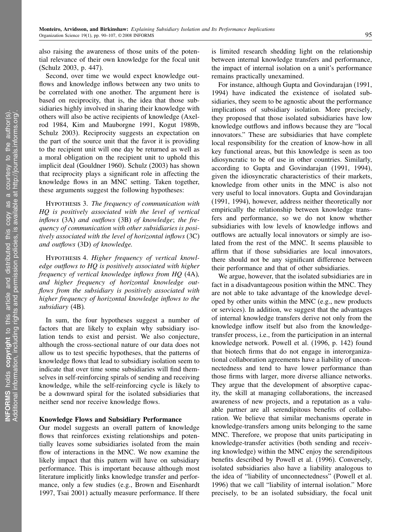also raising the awareness of those units of the potential relevance of their own knowledge for the focal unit (Schulz 2003, p. 447).

Second, over time we would expect knowledge outflows and knowledge inflows between any two units to be correlated with one another. The argument here is based on reciprocity, that is, the idea that those subsidiaries highly involved in sharing their knowledge with others will also be active recipients of knowledge (Axelrod 1984, Kim and Mauborgne 1991, Kogut 1989b, Schulz 2003). Reciprocity suggests an expectation on the part of the source unit that the favor it is providing to the recipient unit will one day be returned as well as a moral obligation on the recipient unit to uphold this implicit deal (Gouldner 1960). Schulz (2003) has shown that reciprocity plays a significant role in affecting the knowledge flows in an MNC setting. Taken together, these arguments suggest the following hypotheses:

Hypothesis 3. The frequency of communication with HQ is positively associated with the level of vertical inflows  $(3A)$  and outflows  $(3B)$  of knowledge; the frequency of communication with other subsidiaries is positively associated with the level of horizontal inflows (3C) and outflows (3D) of knowledge.

Hypothesis 4. Higher frequency of vertical knowledge outflows to  $HQ$  is positively associated with higher frequency of vertical knowledge inflows from HQ (4A), and higher frequency of horizontal knowledge outflows from the subsidiary is positively associated with higher frequency of horizontal knowledge inflows to the subsidiary (4B).

In sum, the four hypotheses suggest a number of factors that are likely to explain why subsidiary isolation tends to exist and persist. We also conjecture, although the cross-sectional nature of our data does not allow us to test specific hypotheses, that the patterns of knowledge flows that lead to subsidiary isolation seem to indicate that over time some subsidiaries will find themselves in self-reinforcing spirals of sending and receiving knowledge, while the self-reinforcing cycle is likely to be a downward spiral for the isolated subsidiaries that neither send nor receive knowledge flows.

#### Knowledge Flows and Subsidiary Performance

Our model suggests an overall pattern of knowledge flows that reinforces existing relationships and potentially leaves some subsidiaries isolated from the main flow of interactions in the MNC. We now examine the likely impact that this pattern will have on subsidiary performance. This is important because although most literature implicitly links knowledge transfer and performance, only a few studies (e.g., Brown and Eisenhardt 1997, Tsai 2001) actually measure performance. If there

is limited research shedding light on the relationship between internal knowledge transfers and performance, the impact of internal isolation on a unit's performance remains practically unexamined.

For instance, although Gupta and Govindarajan (1991, 1994) have indicated the existence of isolated subsidiaries, they seem to be agnostic about the performance implications of subsidiary isolation. More precisely, they proposed that those isolated subsidiaries have low knowledge outflows and inflows because they are "local innovators." These are subsidiaries that have complete local responsibility for the creation of know-how in all key functional areas, but this knowledge is seen as too idiosyncratic to be of use in other countries. Similarly, according to Gupta and Govindarajan (1991, 1994), given the idiosyncratic characteristics of their markets, knowledge from other units in the MNC is also not very useful to local innovators. Gupta and Govindarajan (1991, 1994), however, address neither theoretically nor empirically the relationship between knowledge transfers and performance, so we do not know whether subsidiaries with low levels of knowledge inflows and outflows are actually local innovators or simply are isolated from the rest of the MNC. It seems plausible to affirm that if those subsidiaries are local innovators, there should not be any significant difference between their performance and that of other subsidiaries.

We argue, however, that the isolated subsidiaries are in fact in a disadvantageous position within the MNC. They are not able to take advantage of the knowledge developed by other units within the MNC (e.g., new products or services). In addition, we suggest that the advantages of internal knowledge transfers derive not only from the knowledge inflow itself but also from the knowledgetransfer process, i.e., from the participation in an internal knowledge network. Powell et al. (1996, p. 142) found that biotech firms that do not engage in interorganizational collaboration agreements have a liability of unconnectedness and tend to have lower performance than those firms with larger, more diverse alliance networks. They argue that the development of absorptive capacity, the skill at managing collaborations, the increased awareness of new projects, and a reputation as a valuable partner are all serendipitous benefits of collaboration. We believe that similar mechanisms operate in knowledge-transfers among units belonging to the same MNC. Therefore, we propose that units participating in knowledge-transfer activities (both sending and receiving knowledge) within the MNC enjoy the serendipitous benefits described by Powell et al. (1996). Conversely, isolated subsidiaries also have a liability analogous to the idea of "liability of unconnectedness" (Powell et al. 1996) that we call "liability of internal isolation." More precisely, to be an isolated subsidiary, the focal unit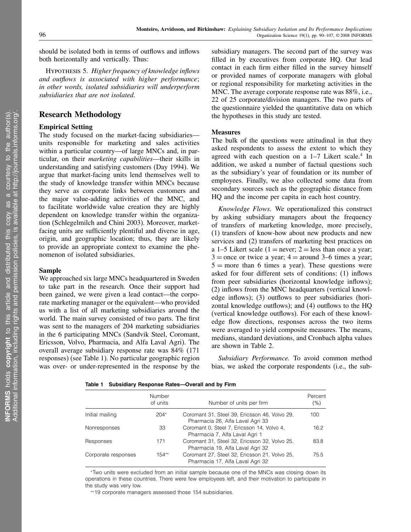should be isolated both in terms of outflows and inflows both horizontally and vertically. Thus:

Hypothesis 5. Higher frequency of knowledge inflows and outflows is associated with higher performance; in other words, isolated subsidiaries will underperform subsidiaries that are not isolated.

# Research Methodology

# Empirical Setting

The study focused on the market-facing subsidiaries units responsible for marketing and sales activities within a particular country—of large MNCs and, in particular, on their marketing capabilities—their skills in understanding and satisfying customers (Day 1994). We argue that market-facing units lend themselves well to the study of knowledge transfer within MNCs because they serve as corporate links between customers and the major value-adding activities of the MNC, and to facilitate worldwide value creation they are highly dependent on knowledge transfer within the organization (Schlegelmilch and Chini 2003). Moreover, marketfacing units are sufficiently plentiful and diverse in age, origin, and geographic location; thus, they are likely to provide an appropriate context to examine the phenomenon of isolated subsidiaries.

# Sample

We approached six large MNCs headquartered in Sweden to take part in the research. Once their support had been gained, we were given a lead contact—the corporate marketing manager or the equivalent—who provided us with a list of all marketing subsidiaries around the world. The main survey consisted of two parts. The first was sent to the managers of 204 marketing subsidiaries in the 6 participating MNCs (Sandvik Steel, Coromant, Ericsson, Volvo, Pharmacia, and Alfa Laval Agri). The overall average subsidiary response rate was 84% (171 responses) (see Table 1). No particular geographic region was over- or under-represented in the response by the

subsidiary managers. The second part of the survey was filled in by executives from corporate HQ. Our lead contact in each firm either filled in the survey himself or provided names of corporate managers with global or regional responsibility for marketing activities in the MNC. The average corporate response rate was 88%, i.e., 22 of 25 corporate/division managers. The two parts of the questionnaire yielded the quantitative data on which the hypotheses in this study are tested.

# **Measures**

The bulk of the questions were attitudinal in that they asked respondents to assess the extent to which they agreed with each question on a  $1-7$  Likert scale.<sup>4</sup> In addition, we asked a number of factual questions such as the subsidiary's year of foundation or its number of employees. Finally, we also collected some data from secondary sources such as the geographic distance from HQ and the income per capita in each host country.

Knowledge Flows. We operationalized this construct by asking subsidiary managers about the frequency of transfers of marketing knowledge, more precisely, (1) transfers of know-how about new products and new services and (2) transfers of marketing best practices on a 1–5 Likert scale (1 = never; 2 = less than once a year;  $3 =$  once or twice a year;  $4 =$  around 3–6 times a year;  $5 =$  more than 6 times a year). These questions were asked for four different sets of conditions: (1) inflows from peer subsidiaries (horizontal knowledge inflows); (2) inflows from the MNC headquarters (vertical knowledge inflows); (3) outflows to peer subsidiaries (horizontal knowledge outflows); and (4) outflows to the HQ (vertical knowledge outflows). For each of these knowledge flow directions, responses across the two items were averaged to yield composite measures. The means, medians, standard deviations, and Cronbach alpha values are shown in Table 2.

Subsidiary Performance. To avoid common method bias, we asked the corporate respondents (i.e., the sub-

|                     | Number<br>of units | Number of units per firm                                                          | Percent<br>(% ) |
|---------------------|--------------------|-----------------------------------------------------------------------------------|-----------------|
| Initial mailing     | $204*$             | Coromant 31, Steel 39, Ericsson 46, Volvo 29,<br>Pharmacia 26, Alfa Laval Agri 33 | 100             |
| Nonresponses        | 33                 | Coromant 0, Steel 7, Ericsson 14, Volvo 4,<br>Pharmacia 7, Alfa Laval Agri 1      | 16.2            |
| Responses           | 171                | Coromant 31, Steel 32, Ericsson 32, Volvo 25,<br>Pharmacia 19, Alfa Laval Agri 32 | 83.8            |
| Corporate responses | $154**$            | Coromant 27, Steel 32, Ericsson 21, Volvo 25,<br>Pharmacia 17, Alfa Laval Agri 32 | 75.5            |

Table 1 Subsidiary Response Rates—Overall and by Firm

<sup>∗</sup>Two units were excluded from an initial sample because one of the MNCs was closing down its operations in these countries. There were few employees left, and their motivation to participate in the study was very low.

∗∗19corporate managers assessed those 154 subsidiaries.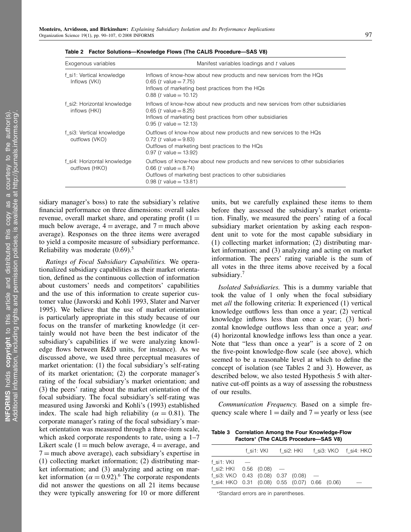| Exogenous variables                           | Manifest variables loadings and t values                                                                                                                                                                          |
|-----------------------------------------------|-------------------------------------------------------------------------------------------------------------------------------------------------------------------------------------------------------------------|
| f_si1: Vertical knowledge<br>Inflows (VKI)    | Inflows of know-how about new products and new services from the HQs<br>0.65 ( <i>t</i> value = $7.75$ )<br>Inflows of marketing best practices from the HQs<br>0.88 ( <i>t</i> value = $10.12$ )                 |
| f_si2: Horizontal knowledge<br>inflows (HKI)  | Inflows of know-how about new products and new services from other subsidiaries<br>0.65 ( <i>t</i> value = 8.25)<br>Inflows of marketing best practices from other subsidiaries<br>0.95 ( <i>t</i> value = 12.13) |
| f_si3: Vertical knowledge<br>outflows (VKO)   | Outflows of know-how about new products and new services to the HQs<br>0.72 ( <i>t</i> value = $9.83$ )<br>Outflows of marketing best practices to the HQs<br>$0.97$ ( <i>t</i> value = 13.92)                    |
| f si4: Horizontal knowledge<br>outflows (HKO) | Outflows of know-how about new products and new services to other subsidiaries<br>0.66 ( <i>t</i> value = 8.74)<br>Outflows of marketing best practices to other subsidiaries<br>0.98 ( <i>t</i> value = 13.81)   |

Table 2 Factor Solutions—Knowledge Flows (The CALIS Procedure—SAS V8)

sidiary manager's boss) to rate the subsidiary's relative financial performance on three dimensions: overall sales revenue, overall market share, and operating profit  $(1 =$ much below average,  $4 =$  average, and  $7 =$  much above average). Responses on the three items were averaged to yield a composite measure of subsidiary performance. Reliability was moderate  $(0.69)$ .<sup>5</sup>

Ratings of Focal Subsidiary Capabilities. We operationalized subsidiary capabilities as their market orientation, defined as the continuous collection of information about customers' needs and competitors' capabilities and the use of this information to create superior customer value (Jaworski and Kohli 1993, Slater and Narver 1995). We believe that the use of market orientation is particularly appropriate in this study because of our focus on the transfer of marketing knowledge (it certainly would not have been the best indicator of the subsidiary's capabilities if we were analyzing knowledge flows between R&D units, for instance). As we discussed above, we used three perceptual measures of market orientation: (1) the focal subsidiary's self-rating of its market orientation; (2) the corporate manager's rating of the focal subsidiary's market orientation; and (3) the peers' rating about the market orientation of the focal subsidiary. The focal subsidiary's self-rating was measured using Jaworski and Kohli's (1993) established index. The scale had high reliability ( $\alpha = 0.81$ ). The corporate manager's rating of the focal subsidiary's market orientation was measured through a three-item scale, which asked corporate respondents to rate, using a 1–7 Likert scale  $(1 = \text{much below average}, 4 = \text{average}, \text{and})$  $7 =$  much above average), each subsidiary's expertise in (1) collecting market information; (2) distributing market information; and (3) analyzing and acting on market information ( $\alpha = 0.92$ ).<sup>6</sup> The corporate respondents did not answer the questions on all 21 items because they were typically answering for 10 or more different

units, but we carefully explained these items to them before they assessed the subsidiary's market orientation. Finally, we measured the peers' rating of a focal subsidiary market orientation by asking each respondent unit to vote for the most capable subsidiary in (1) collecting market information; (2) distributing market information; and (3) analyzing and acting on market information. The peers' rating variable is the sum of all votes in the three items above received by a focal subsidiary.<sup>7</sup>

Isolated Subsidiaries. This is a dummy variable that took the value of 1 only when the focal subsidiary met all the following criteria: It experienced (1) vertical knowledge outflows less than once a year; (2) vertical knowledge inflows less than once a year; (3) horizontal knowledge outflows less than once a year; and (4) horizontal knowledge inflows less than once a year. Note that "less than once a year" is a score of 2 on the five-point knowledge-flow scale (see above), which seemed to be a reasonable level at which to define the concept of isolation (see Tables 2 and 3). However, as described below, we also tested Hypothesis 5 with alternative cut-off points as a way of assessing the robustness of our results.

Communication Frequency. Based on a simple frequency scale where  $1 =$  daily and  $7 =$  yearly or less (see

Table 3 Correlation Among the Four Knowledge-Flow Factors<sup>∗</sup> (The CALIS Procedure—SAS V8)

|                                                |               |  |  | f si1: VKI f si2: HKI f si3: VKO f si4: HKO |
|------------------------------------------------|---------------|--|--|---------------------------------------------|
| f si1: VKI                                     | $\sim$ $\sim$ |  |  |                                             |
| f si2: HKI $0.56$ (0.08) $-$                   |               |  |  |                                             |
| f si3: VKO $0.43$ (0.08) 0.37 (0.08) $-$       |               |  |  |                                             |
| f si4: HKO 0.31 (0.08) 0.55 (0.07) 0.66 (0.06) |               |  |  |                                             |

<sup>∗</sup>Standard errors are in parentheses.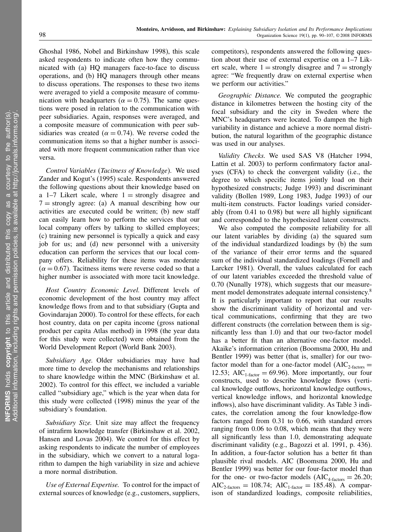Ghoshal 1986, Nobel and Birkinshaw 1998), this scale asked respondents to indicate often how they communicated with (a) HQ managers face-to-face to discuss operations, and (b) HQ managers through other means to discuss operations. The responses to these two items were averaged to yield a composite measure of commumication with headquarters ( $\alpha = 0.75$ ). The same questions were posed in relation to the communication with peer subsidiaries. Again, responses were averaged, and a composite measure of communication with peer subsidiaries was created ( $\alpha = 0.74$ ). We reverse coded the communication items so that a higher number is associated with more frequent communication rather than vice versa.

Control Variables (Tacitness of Knowledge). We used Zander and Kogut's (1995) scale. Respondents answered the following questions about their knowledge based on a  $1-7$  Likert scale, where  $1 =$  strongly disagree and  $7 =$  strongly agree: (a) A manual describing how our activities are executed could be written; (b) new staff can easily learn how to perform the services that our local company offers by talking to skilled employees; (c) training new personnel is typically a quick and easy job for us; and (d) new personnel with a university education can perform the services that our local company offers. Reliability for these items was moderate  $(\alpha = 0.67)$ . Tacitness items were reverse coded so that a higher number is associated with more tacit knowledge.

Host Country Economic Level. Different levels of economic development of the host country may affect knowledge flows from and to that subsidiary (Gupta and Govindarajan 2000). To control for these effects, for each host country, data on per capita income (gross national product per capita Atlas method) in 1998 (the year data for this study were collected) were obtained from the World Development Report (World Bank 2003).

Subsidiary Age. Older subsidiaries may have had more time to develop the mechanisms and relationships to share knowledge within the MNC (Birkinshaw et al. 2002). To control for this effect, we included a variable called "subsidiary age," which is the year when data for this study were collected (1998) minus the year of the subsidiary's foundation.

Subsidiary Size. Unit size may affect the frequency of intrafirm knowledge transfer (Birkinshaw et al. 2002, Hansen and Lovas 2004). We control for this effect by asking respondents to indicate the number of employees in the subsidiary, which we convert to a natural logarithm to dampen the high variability in size and achieve a more normal distribution.

Use of External Expertise. To control for the impact of external sources of knowledge (e.g., customers, suppliers,

competitors), respondents answered the following question about their use of external expertise on a 1–7 Likert scale, where  $1 =$  strongly disagree and  $7 =$  strongly agree: "We frequently draw on external expertise when we perform our activities."

Geographic Distance. We computed the geographic distance in kilometres between the hosting city of the focal subsidiary and the city in Sweden where the MNC's headquarters were located. To dampen the high variability in distance and achieve a more normal distribution, the natural logarithm of the geographic distance was used in our analyses.

Validity Checks. We used SAS V8 (Hatcher 1994, Lattin et al. 2003) to perform confirmatory factor analyses (CFA) to check the convergent validity (i.e., the degree to which specific items jointly load on their hypothesized constructs; Judge 1993) and discriminant validity (Bollen 1989, Long 1983, Judge 1993) of our multi-item constructs. Factor loadings varied considerably (from 0.41 to 0.98) but were all highly significant and corresponded to the hypothesized latent constructs.

We also computed the composite reliability for all our latent variables by dividing (a) the squared sum of the individual standardized loadings by (b) the sum of the variance of their error terms and the squared sum of the individual standardized loadings (Fornell and Larcker 1981). Overall, the values calculated for each of our latent variables exceeded the threshold value of 0.70 (Nunally 1978), which suggests that our measurement model demonstrates adequate internal consistency.<sup>8</sup> It is particularly important to report that our results show the discriminant validity of horizontal and vertical communications, confirming that they are two different constructs (the correlation between them is significantly less than 1.0) and that our two-factor model has a better fit than an alternative one-factor model. Akaike's information criterion (Boomsma 2000, Hu and Bentler 1999) was better (that is, smaller) for our twofactor model than for a one-factor model  $(AIC<sub>2-factors</sub> =$ 12.53;  $AIC<sub>1-factor</sub> = 69.96$ ). More importantly, our four constructs, used to describe knowledge flows (vertical knowledge outflows, horizontal knowledge outflows, vertical knowledge inflows, and horizontal knowledge inflows), also have discriminant validity. As Table 3 indicates, the correlation among the four knowledge-flow factors ranged from 0.31 to 0.66, with standard errors ranging from 0.06 to 0.08, which means that they were all significantly less than 1.0, demonstrating adequate discriminant validity (e.g., Bagozzi et al. 1991, p. 436). In addition, a four-factor solution has a better fit than plausible rival models. AIC (Boomsma 2000, Hu and Bentler 1999) was better for our four-factor model than for the one- or two-factor models  $(AIC_{4-factors} = 26.20;$  $AIC<sub>2-factors</sub> = 108.74$ ;  $AIC<sub>1-factor</sub> = 185.48$ ). A comparison of standardized loadings, composite reliabilities,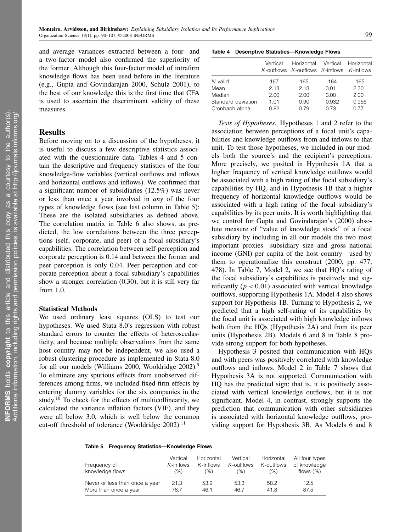and average variances extracted between a four- and a two-factor model also confirmed the superiority of the former. Although this four-factor model of intrafirm knowledge flows has been used before in the literature (e.g., Gupta and Govindarajan 2000, Schulz 2001), to the best of our knowledge this is the first time that CFA is used to ascertain the discriminant validity of these measures.

# Results

Before moving on to a discussion of the hypotheses, it is useful to discuss a few descriptive statistics associated with the questionnaire data. Tables 4 and 5 contain the descriptive and frequency statistics of the four knowledge-flow variables (vertical outflows and inflows and horizontal outflows and inflows). We confirmed that a significant number of subsidiaries (12.5%) was never or less than once a year involved in any of the four types of knowledge flows (see last column in Table 5): These are the isolated subsidiaries as defined above. The correlation matrix in Table 6 also shows, as predicted, the low correlations between the three perceptions (self, corporate, and peer) of a focal subsidiary's capabilities. The correlation between self-perception and corporate perception is 0.14 and between the former and peer perception is only 0.04. Peer perception and corporate perception about a focal subsidiary's capabilities show a stronger correlation (0.30), but it is still very far from 1.0.

#### Statistical Methods

We used ordinary least squares (OLS) to test our hypotheses. We used Stata 8.0's regression with robust standard errors to counter the effects of heteroscedasticity, and because multiple observations from the same host country may not be independent, we also used a robust clustering procedure as implemented in Stata 8.0 for all our models (Williams 2000, Wooldridge 2002).<sup>9</sup> To eliminate any spurious effects from unobserved differences among firms, we included fixed-firm effects by entering dummy variables for the six companies in the study.<sup>10</sup> To check for the effects of multicollinearity, we calculated the variance inflation factors (VIF), and they were all below 3.0, which is well below the common cut-off threshold of tolerance (Wooldridge 2002).<sup>11</sup>

Table 4 Descriptive Statistics—Knowledge Flows

|                                      | Vertical     | Horizontal<br>K-outflows K-outflows K-inflows K-inflows | Vertical      | Horizontal    |
|--------------------------------------|--------------|---------------------------------------------------------|---------------|---------------|
| N valid                              | 167          | 165                                                     | 164           | 165           |
| Mean                                 | 2.18         | 2 18                                                    | 3.01          | 2.30          |
| Median                               | 2.00         | 2.00                                                    | 3.00          | 2.00          |
| Standard deviation<br>Cronbach alpha | 1.01<br>0.82 | 0.90<br>በ 79                                            | 0.932<br>0.73 | 0.956<br>0.77 |

Tests of Hypotheses. Hypotheses 1 and 2 refer to the association between perceptions of a focal unit's capabilities and knowledge outflows from and inflows to that unit. To test those hypotheses, we included in our models both the source's and the recipient's perceptions. More precisely, we posited in Hypothesis 1A that a higher frequency of vertical knowledge outflows would be associated with a high rating of the focal subsidiary's capabilities by HQ, and in Hypothesis 1B that a higher frequency of horizontal knowledge outflows would be associated with a high rating of the focal subsidiary's capabilities by its peer units. It is worth highlighting that we control for Gupta and Govindarajan's (2000) absolute measure of "value of knowledge stock" of a focal subsidiary by including in all our models the two most important proxies—subsidiary size and gross national income (GNI) per capita of the host country—used by them to operationalize this construct (2000, pp. 477, 478). In Table 7, Model 2, we see that HQ's rating of the focal subsidiary's capabilities is positively and significantly ( $p < 0.01$ ) associated with vertical knowledge outflows, supporting Hypothesis 1A. Model 4 also shows support for Hypothesis 1B. Turning to Hypothesis 2, we predicted that a high self-rating of its capabilities by the focal unit is associated with high knowledge inflows both from the HQs (Hypothesis 2A) and from its peer units (Hypothesis 2B). Models 6 and 8 in Table 8 provide strong support for both hypotheses.

Hypothesis 3 posited that communication with HQs and with peers was positively correlated with knowledge outflows and inflows. Model 2 in Table 7 shows that Hypothesis 3A is not supported. Communication with HQ has the predicted sign; that is, it is positively associated with vertical knowledge outflows, but it is not significant. Model 4, in contrast, strongly supports the prediction that communication with other subsidiaries is associated with horizontal knowledge outflows, providing support for Hypothesis 3B. As Models 6 and 8

|  | Table 5 Frequency Statistics-Knowledge Flows |
|--|----------------------------------------------|
|  |                                              |

| Frequency of<br>knowledge flows | Vertical<br>$K$ -inflows<br>(%) | Horizontal<br>$K$ -inflows<br>(%) | Vertical<br>K-outflows<br>(% ) | Horizontal<br>K-outflows<br>(%) | All four types<br>of knowledge<br>flows $(%)$ |
|---------------------------------|---------------------------------|-----------------------------------|--------------------------------|---------------------------------|-----------------------------------------------|
| Never or less than once a year  | 21.3                            | 53.9                              | 53.3                           | 58.2                            | 12.5                                          |
| More than once a year           | 78.7                            | 46.1                              | 46.7                           | 41.8                            | 87.5                                          |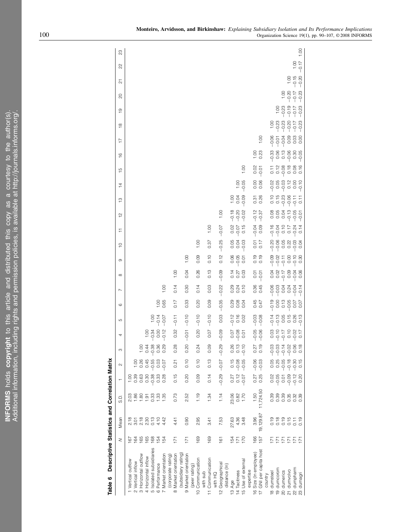| Descriptive Statistics and Correlation Matrix<br>Table 6         |                               |                          |                                        |                 |                                                                                 |                          |                      |                    |                      |                |                                                                                                                                                                                                                                                                                                           |                                             |                        |                                                        |                                            |                                                                                                                    |               |               |      |               |               |                                                                      |         |               |  |
|------------------------------------------------------------------|-------------------------------|--------------------------|----------------------------------------|-----------------|---------------------------------------------------------------------------------|--------------------------|----------------------|--------------------|----------------------|----------------|-----------------------------------------------------------------------------------------------------------------------------------------------------------------------------------------------------------------------------------------------------------------------------------------------------------|---------------------------------------------|------------------------|--------------------------------------------------------|--------------------------------------------|--------------------------------------------------------------------------------------------------------------------|---------------|---------------|------|---------------|---------------|----------------------------------------------------------------------|---------|---------------|--|
|                                                                  | 2                             | Mean                     | Q<br>ဟ                                 |                 | $\sim$                                                                          | ო                        | 4                    | LO                 | ဖ                    | $\overline{ }$ | ${}^{\circ}$                                                                                                                                                                                                                                                                                              | $\frac{1}{2}$<br>$\sigma$                   | $\overline{1}$         | 읻                                                      | $\frac{1}{2}$                              | $\overline{4}$                                                                                                     | $\frac{5}{1}$ | $\frac{6}{1}$ | 17   | $\frac{8}{1}$ | $\frac{0}{1}$ | IJ<br>20                                                             | R       | 23            |  |
| 1 Vertical outflow                                               | 167                           | 2.18                     | 2.03                                   | 1,00            |                                                                                 |                          |                      |                    |                      |                |                                                                                                                                                                                                                                                                                                           |                                             |                        |                                                        |                                            |                                                                                                                    |               |               |      |               |               |                                                                      |         |               |  |
|                                                                  | 164                           | 3.01                     | 1.86                                   | 0.39<br>0.63    | 1,00                                                                            |                          |                      |                    |                      |                |                                                                                                                                                                                                                                                                                                           |                                             |                        |                                                        |                                            |                                                                                                                    |               |               |      |               |               |                                                                      |         |               |  |
| 2 Vertical inflow<br>3 Horizontal outflow<br>4 Horizontal inflow | 168                           | $2.18$<br>$2.30$         | 1.80                                   |                 |                                                                                 |                          |                      |                    |                      |                |                                                                                                                                                                                                                                                                                                           |                                             |                        |                                                        |                                            |                                                                                                                    |               |               |      |               |               |                                                                      |         |               |  |
|                                                                  |                               |                          |                                        | 0.30            |                                                                                 |                          |                      |                    |                      |                |                                                                                                                                                                                                                                                                                                           |                                             |                        |                                                        |                                            |                                                                                                                    |               |               |      |               |               |                                                                      |         |               |  |
|                                                                  |                               | $0.13$<br>4.10           | $\frac{1}{9}$ .33                      |                 |                                                                                 |                          |                      |                    |                      |                |                                                                                                                                                                                                                                                                                                           |                                             |                        |                                                        |                                            |                                                                                                                    |               |               |      |               |               |                                                                      |         |               |  |
|                                                                  | $\frac{1}{12}$ $\frac{1}{12}$ |                          | $1.\overline{33}$<br>$1.\overline{35}$ |                 | $\begin{array}{c}\n 0.486 \\  0.456 \\  0.030 \\  0.000 \\  0.00\n \end{array}$ | $-00000$<br>$-00000$     | 음 음 음 음<br>음 음 음 음   | $-0.07$<br>$-0.07$ | 00.1                 |                |                                                                                                                                                                                                                                                                                                           |                                             |                        |                                                        |                                            |                                                                                                                    |               |               |      |               |               |                                                                      |         |               |  |
| 5 Isolated subsidiaries<br>6 Performance<br>7 Market orientation |                               | 4.42                     |                                        |                 |                                                                                 |                          |                      |                    | 0.65                 | 1.00           |                                                                                                                                                                                                                                                                                                           |                                             |                        |                                                        |                                            |                                                                                                                    |               |               |      |               |               |                                                                      |         |               |  |
| Market orientation<br>(corporate rating)<br>$\infty$             | 171                           | 4.41                     | 0.73                                   | 0.15            | 0.21                                                                            | $\frac{8}{2}$<br>$\circ$ | 0.32                 | $-0.11$            | 0.17                 | 0.14           | 1.00                                                                                                                                                                                                                                                                                                      |                                             |                        |                                                        |                                            |                                                                                                                    |               |               |      |               |               |                                                                      |         |               |  |
| subsidiary rating)                                               |                               |                          |                                        |                 |                                                                                 |                          |                      |                    |                      |                |                                                                                                                                                                                                                                                                                                           |                                             |                        |                                                        |                                            |                                                                                                                    |               |               |      |               |               |                                                                      |         |               |  |
| Market orientation<br>တ                                          | 171                           | 0.90                     | 2.52                                   | 0.20            | 0.10                                                                            | Ş<br>$\circ$             | $-0.01$              | $-0.10$            | 0.33                 | 0.30           | 0.04                                                                                                                                                                                                                                                                                                      | 1.00                                        |                        |                                                        |                                            |                                                                                                                    |               |               |      |               |               |                                                                      |         |               |  |
| (peer rating)                                                    |                               |                          |                                        |                 |                                                                                 |                          |                      |                    |                      |                |                                                                                                                                                                                                                                                                                                           |                                             |                        |                                                        |                                            |                                                                                                                    |               |               |      |               |               |                                                                      |         |               |  |
| Communication<br>$\frac{1}{2}$                                   | 169                           | 2.95                     | 1.19                                   | 0.09            | 0.10                                                                            | $\ddot{c}$<br>$\circ$    | 0.20                 | $-0.10$            | 0.20                 | 0.14           | 0.26                                                                                                                                                                                                                                                                                                      | 1.00<br>0.09                                |                        |                                                        |                                            |                                                                                                                    |               |               |      |               |               |                                                                      |         |               |  |
| with sub                                                         |                               |                          |                                        |                 |                                                                                 |                          |                      |                    |                      |                |                                                                                                                                                                                                                                                                                                           |                                             |                        |                                                        |                                            |                                                                                                                    |               |               |      |               |               |                                                                      |         |               |  |
| 11 Communication<br>with HQ                                      | 169                           | 3.41                     | 1.34                                   | 0.14            | 0.13                                                                            | 8<br>$\circ$             | 0.07                 | $-0.10$            | 0.09                 | 0.03           | 0.13                                                                                                                                                                                                                                                                                                      | 0.37<br>0.10                                | $\frac{8}{1}$          |                                                        |                                            |                                                                                                                    |               |               |      |               |               |                                                                      |         |               |  |
| Geographical<br>$\sim$                                           | $\overline{161}$              | 7.53                     | 1.14                                   | $-0.29$         | $-0.07$                                                                         | Sò<br>$\overline{a}$     | $-0.09$              | 0.03               | $-0.35$              | $-0.22$        | $-0.09$                                                                                                                                                                                                                                                                                                   | $-0.25$<br>0.12                             | $-0.07$                | $\frac{8}{1}$                                          |                                            |                                                                                                                    |               |               |      |               |               |                                                                      |         |               |  |
| distance (In)                                                    |                               |                          |                                        |                 |                                                                                 |                          |                      |                    |                      |                |                                                                                                                                                                                                                                                                                                           |                                             |                        |                                                        |                                            |                                                                                                                    |               |               |      |               |               |                                                                      |         |               |  |
| Age<br>$\frac{1}{2}$                                             |                               | 27.63                    | 23.06                                  |                 |                                                                                 |                          |                      |                    |                      |                |                                                                                                                                                                                                                                                                                                           |                                             |                        |                                                        |                                            |                                                                                                                    |               |               |      |               |               |                                                                      |         |               |  |
| 14 Tacitness                                                     | 휴는 동                          | 4.36                     | 0.82                                   | 0.27<br>0.12    | $-0.15$<br>$-0.08$<br>$-0.05$                                                   | $0.26$<br>0.13<br>0.10   | 0.08<br>0.00<br>0.0  | $-0.18$<br>$-0.02$ | 0.28<br>0.03<br>0.04 |                | 0.05<br>0.07<br>0.07<br>3<br>22<br>25<br>28                                                                                                                                                                                                                                                               |                                             | 0.02<br>-0.07<br>-0.15 | $\begin{array}{c}\n 8 \\  -0.8 \\  -0.2\n \end{array}$ | $3000 - 000$                               |                                                                                                                    |               |               |      |               |               |                                                                      |         |               |  |
| Use of external<br>$\overline{0}$                                |                               | 3.48                     | 1.70                                   | $-0.07$         |                                                                                 |                          |                      |                    |                      |                |                                                                                                                                                                                                                                                                                                           | $0.05$<br>0.04<br>0.03                      |                        |                                                        |                                            | $-0.05$                                                                                                            | $rac{100}{ }$ |               |      |               |               |                                                                      |         |               |  |
| expertise                                                        |                               |                          |                                        |                 |                                                                                 |                          |                      |                    |                      |                |                                                                                                                                                                                                                                                                                                           |                                             |                        |                                                        |                                            |                                                                                                                    |               |               |      |               |               |                                                                      |         |               |  |
|                                                                  | 166<br>157                    | 3.96                     | 1.50                                   | 0.27            | $-0.06$<br>$-0.03$                                                              | $0.27$<br>0.19           | $-0.05$<br>$-0.06$   | $-0.03$            | 0.47<br>0.47         | 0.36<br>0.45   |                                                                                                                                                                                                                                                                                                           | 0.17                                        | $-0.08$                | $-0.12$<br>$-0.37$                                     | $0.31$<br>0.26                             |                                                                                                                    |               |               |      |               |               |                                                                      |         |               |  |
| 16 Size (In employee)<br>17 GNI per capita host                  |                               | 19,129.87                | 11,724.50                              | 0.25            |                                                                                 |                          |                      |                    |                      |                | a<br>S<br>P<br>P                                                                                                                                                                                                                                                                                          | $\begin{array}{c} 0.19 \\ 0.19 \end{array}$ |                        |                                                        |                                            | 8<br>0.06                                                                                                          | 0.05          | $rac{8}{10}$  | 00.1 |               |               |                                                                      |         |               |  |
| country                                                          |                               |                          |                                        |                 |                                                                                 |                          |                      |                    |                      |                |                                                                                                                                                                                                                                                                                                           |                                             |                        |                                                        |                                            |                                                                                                                    |               |               |      |               |               |                                                                      |         |               |  |
| 18 dumsteel<br>19 dumorom                                        |                               | 0.19                     | 0.39                                   | 0.05            |                                                                                 |                          |                      |                    |                      |                |                                                                                                                                                                                                                                                                                                           |                                             |                        |                                                        |                                            |                                                                                                                    |               |               |      |               |               |                                                                      |         |               |  |
|                                                                  |                               | 0.18                     | 0.39                                   |                 | $\begin{array}{c} 0.05 \\ 0.25 \\ -0.05 \end{array}$                            |                          |                      |                    |                      |                |                                                                                                                                                                                                                                                                                                           |                                             |                        |                                                        |                                            |                                                                                                                    |               |               |      |               |               |                                                                      |         |               |  |
| 20 dumerics                                                      |                               |                          | 0.39                                   | 0.01            |                                                                                 |                          |                      |                    |                      |                |                                                                                                                                                                                                                                                                                                           |                                             |                        |                                                        |                                            |                                                                                                                    |               |               |      |               |               | $\frac{100}{100}$                                                    |         |               |  |
| 21 dumvolvo                                                      |                               |                          | 0.35                                   | $-0.09$         | $-0.18$                                                                         |                          |                      |                    |                      |                |                                                                                                                                                                                                                                                                                                           |                                             |                        |                                                        |                                            |                                                                                                                    |               |               |      |               |               |                                                                      |         |               |  |
| 22 dumpharm<br>23 dumagri                                        | <u> 즉 즉 즉 즉 즉 즉</u>           | 015<br>015<br>016<br>019 | $0.32$<br>0.39                         | $-0.12$<br>0.20 | $-0.30$<br>0.15                                                                 |                          | 3222<br>8222<br>8222 |                    | 0.07                 |                | $\begin{array}{c} 0.81 & 0.71 & 0.71 \\ 0.71 & 0.71 & 0.71 \\ 0.71 & 0.71 & 0.71 \\ 0.71 & 0.71 & 0.71 \\ 0.71 & 0.71 & 0.71 \\ 0.71 & 0.71 & 0.71 \\ 0.71 & 0.71 & 0.71 \\ 0.71 & 0.71 & 0.71 \\ 0.71 & 0.71 & 0.71 \\ 0.71 & 0.71 & 0.71 \\ 0.71 & 0.71 & 0.71 \\ 0.71 & 0.71 & 0.$<br>885888<br>885888 |                                             |                        | 8888285<br>00000000<br>000000                          | $0.5888$<br>$0.5888$<br>$0.5999$<br>$0.51$ | $\begin{array}{c}\n 0 & 0 & 0 & 0 \\  0 & 0 & 0 & 0 & 0 \\  0 & 0 & 0 & 0 & 0 \\  0 & 0 & 0 & 0 & 0\n \end{array}$ |               |               |      |               |               | $-0.15$<br>$\begin{array}{c}\n 20 \\  -0.73 \\  -0.23\n \end{array}$ |         | 1.00          |  |
| dumagri                                                          |                               |                          |                                        |                 |                                                                                 |                          |                      |                    |                      |                |                                                                                                                                                                                                                                                                                                           |                                             |                        |                                                        |                                            |                                                                                                                    |               |               |      |               |               | $-0.20$                                                              | $-0.17$ | $\frac{8}{1}$ |  |
|                                                                  |                               |                          |                                        |                 |                                                                                 |                          |                      |                    |                      |                |                                                                                                                                                                                                                                                                                                           |                                             |                        |                                                        |                                            |                                                                                                                    |               |               |      |               |               |                                                                      |         |               |  |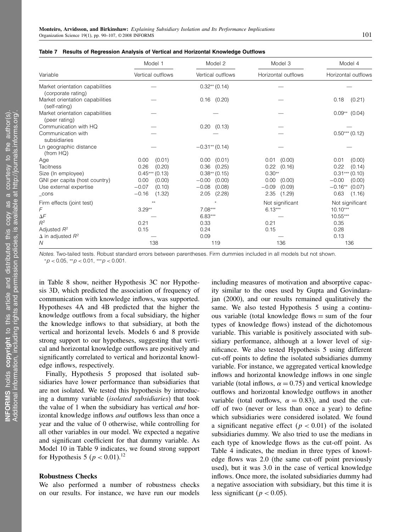|                                                       | Model 1           | Model 2           | Model 3             | Model 4             |
|-------------------------------------------------------|-------------------|-------------------|---------------------|---------------------|
| Variable                                              | Vertical outflows | Vertical outflows | Horizontal outflows | Horizontal outflows |
| Market orientation capabilities<br>(corporate rating) |                   | $0.32**$ (0.14)   |                     |                     |
| Market orientation capabilities<br>(self-rating)      |                   | $0.16$ $(0.20)$   |                     | 0.18<br>(0.21)      |
| Market orientation capabilities<br>(peer rating)      |                   |                   |                     | $0.09**$ (0.04)     |
| Communication with HQ                                 |                   | 0.20<br>(0.13)    |                     |                     |
| Communication with<br>subsidiaries                    |                   |                   |                     | $0.50***$ (0.12)    |
| Ln geographic distance<br>(from HQ)                   |                   | $-0.31**$ (0.14)  |                     |                     |
| Age                                                   | 0.00<br>(0.01)    | (0.01)<br>0.00    | (0.00)<br>0.01      | (0.00)<br>0.01      |
| <b>Tacitness</b>                                      | 0.26<br>(0.20)    | 0.36<br>(0.25)    | (0.16)<br>0.22      | 0.22<br>(0.14)      |
| Size (In employee)                                    | $0.45***(0.13)$   | $0.38**$ (0.15)   | $0.30**$            | $0.31***$ (0.10)    |
| GNI per capita (host country)                         | 0.00<br>(0.00)    | $-0.00$<br>(0.00) | 0.00<br>(0.00)      | $-0.00$<br>(0.00)   |
| Use external expertise                                | $-0.07$<br>(0.10) | $-0.08$<br>(0.08) | $-0.09$<br>(0.09)   | $-0.16**$ (0.07)    |
| $_{\sim}$ cons                                        | $-0.16$<br>(1.32) | 2.05<br>(2.28)    | 2.35<br>(1.29)      | 0.63<br>(1.16)      |
| Firm effects (joint test)                             |                   |                   | Not significant     | Not significant     |
| F                                                     | $3.29**$          | $7.08***$         | $6.13***$           | $10.10***$          |
| $\Delta F$                                            |                   | $6.83***$         |                     | 10.55***            |
| $R^2$                                                 | 0.21              | 0.33              | 0.21                | 0.35                |
| Adjusted $R^2$                                        | 0.15              | 0.24              | 0.15                | 0.28                |
| $\Delta$ in adjusted $R^2$                            |                   | 0.09              |                     | 0.13                |
| N                                                     | 138               | 119               | 136                 | 136                 |

#### Table 7 Results of Regression Analysis of Vertical and Horizontal Knowledge Outflows

Notes. Two-tailed tests. Robust standard errors between parentheses. Firm dummies included in all models but not shown.  ${}^*p$  < 0.05,  ${}^*p$  < 0.01,  ${}^{***}p$  < 0.001.

in Table 8 show, neither Hypothesis 3C nor Hypothesis 3D, which predicted the association of frequency of communication with knowledge inflows, was supported. Hypotheses 4A and 4B predicted that the higher the knowledge outflows from a focal subsidiary, the higher the knowledge inflows to that subsidiary, at both the vertical and horizontal levels. Models 6 and 8 provide strong support to our hypotheses, suggesting that vertical and horizontal knowledge outflows are positively and significantly correlated to vertical and horizontal knowledge inflows, respectively.

Finally, Hypothesis 5 proposed that isolated subsidiaries have lower performance than subsidiaries that are not isolated. We tested this hypothesis by introducing a dummy variable (isolated subsidiaries) that took the value of 1 when the subsidiary has vertical and horizontal knowledge inflows *and* outflows less than once a year and the value of 0 otherwise, while controlling for all other variables in our model. We expected a negative and significant coefficient for that dummy variable. As Model 10 in Table 9 indicates, we found strong support for Hypothesis 5 ( $p < 0.01$ ).<sup>12</sup>

# Robustness Checks

We also performed a number of robustness checks on our results. For instance, we have run our models including measures of motivation and absorptive capacity similar to the ones used by Gupta and Govindarajan (2000), and our results remained qualitatively the same. We also tested Hypothesis 5 using a continuous variable (total knowledge flows  $=$  sum of the four types of knowledge flows) instead of the dichotomous variable. This variable is positively associated with subsidiary performance, although at a lower level of significance. We also tested Hypothesis 5 using different cut-off points to define the isolated subsidiaries dummy variable. For instance, we aggregated vertical knowledge inflows and horizontal knowledge inflows in one single variable (total inflows,  $\alpha = 0.75$ ) and vertical knowledge outflows and horizontal knowledge outflows in another variable (total outflows,  $\alpha = 0.83$ ), and used the cutoff of two (never or less than once a year) to define which subsidiaries were considered isolated. We found a significant negative effect  $(p < 0.01)$  of the isolated subsidiaries dummy. We also tried to use the medians in each type of knowledge flows as the cut-off point. As Table 4 indicates, the median in three types of knowledge flows was 2.0 (the same cut-off point previously used), but it was 3.0 in the case of vertical knowledge inflows. Once more, the isolated subsidiaries dummy had a negative association with subsidiary, but this time it is less significant ( $p < 0.05$ ).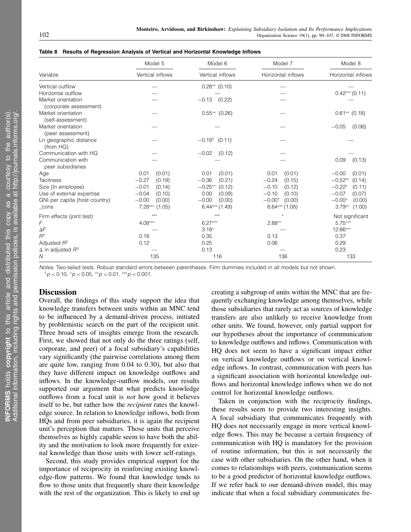|                               | Model 5           | Model 6                     | Model 7            | Model 8             |
|-------------------------------|-------------------|-----------------------------|--------------------|---------------------|
| Variable                      | Vertical inflows  | Vertical inflows            | Horizontal inflows | Horizontal inflows  |
| Vertical outflow              |                   | $0.28**$ (0.10)             |                    |                     |
| Horizontal outflow            |                   |                             |                    | $0.42***$ (0.11)    |
| Market orientation            |                   | $-0.13$ (0.22)              |                    |                     |
| (corporate assessment)        |                   |                             |                    |                     |
| Market orientation            |                   | $0.55**$ (0.26)             |                    | $0.61**$ (0.18)     |
| (self-assessment)             |                   |                             |                    |                     |
| Market orientation            |                   |                             |                    | $-0.05$<br>(0.06)   |
| (peer assessment)             |                   |                             |                    |                     |
| Ln geographic distance        |                   | $-0.19$ <sup>†</sup> (0.11) |                    |                     |
| (from HQ)                     |                   |                             |                    |                     |
| Communication with HQ         |                   | $-0.02$ $(0.12)$            |                    |                     |
| Communication with            |                   |                             |                    | 0.09<br>(0.13)      |
| peer subsidiaries             |                   |                             |                    |                     |
| Age                           | 0.01<br>(0.01)    | 0.01<br>(0.01)              | (0.01)<br>0.01     | $-0.00$<br>(0.01)   |
| <b>Tacitness</b>              | $-0.27$<br>(0.19) | (0.21)<br>$-0.36$           | $-0.24$<br>(0.15)  | $-0.52**$<br>(0.14) |
| Size (In employee)            | $-0.01$<br>(0.14) | $-0.25**$<br>(0.12)         | $-0.10$<br>(0.12)  | $-0.22*$<br>(0.11)  |
| Use of external expertise     | $-0.04$<br>(0.10) | 0.00<br>(0.09)              | $-0.10$<br>(0.10)  | $-0.07$<br>(0.07)   |
| GNI per capita (host country) | $-0.00$<br>(0.00) | $-0.00$<br>(0.00)           | $-0.00†$<br>(0.00) | $-0.00*$<br>(0.00)  |
| $_{\sim}$ cons                | $7.28***$ (1.05)  | $6.44***$ (1.49)            | $6.64***$ (1.08)   | $3.79**$<br>(1.00)  |
| Firm effects (joint test)     | ***               | ***                         |                    | Not significant     |
| F                             | $4.08***$         | $6.27***$                   | $2.88**$           | $5.75***$           |
| $\Delta F$                    |                   | $3.18*$                     |                    | 12.66***            |
| $R^2$                         | 0.18              | 0.35                        | 0.13               | 0.37                |
| Adjusted $R^2$                | 0.12              | 0.25                        | 0.06               | 0.29                |
| $\Delta$ in adjusted $R^2$    |                   | 0.13                        |                    | 0.23                |
| N                             | 135               | 116                         | 136                | 133                 |

Table 8 Results of Regression Analysis of Vertical and Horizontal Knowledge Inflows

Notes. Two-tailed tests. Robust standard errors between parentheses. Firm dummies included in all models but not shown.  $<sup>†</sup>p < 0.10, <sup>*</sup>p < 0.05, <sup>**</sup>p < 0.01, <sup>***</sup>p < 0.001.$ </sup>

# **Discussion**

Overall, the findings of this study support the idea that knowledge transfers between units within an MNC tend to be influenced by a demand-driven process, initiated by problemistic search on the part of the recipient unit. Three broad sets of insights emerge from the research. First, we showed that not only do the three ratings (self, corporate, and peer) of a focal subsidiary's capabilities vary significantly (the pairwise correlations among them are quite low, ranging from 0.04 to 0.30), but also that they have different impact on knowledge outflows and inflows. In the knowledge-outflow models, our results supported our argument that what predicts knowledge outflows from a focal unit is not how good it believes itself to be, but rather how the recipient rates the knowledge source. In relation to knowledge inflows, both from HQs and from peer subsidiaries, it is again the recipient unit's perception that matters. Those units that perceive themselves as highly capable seem to have both the ability and the motivation to look more frequently for external knowledge than those units with lower self-ratings.

Second, this study provides empirical support for the importance of reciprocity in reinforcing existing knowledge-flow patterns. We found that knowledge tends to flow to those units that frequently share their knowledge with the rest of the organization. This is likely to end up creating a subgroup of units within the MNC that are frequently exchanging knowledge among themselves, while those subsidiaries that rarely act as sources of knowledge transfers are also unlikely to receive knowledge from other units. We found, however, only partial support for our hypotheses about the importance of communication to knowledge outflows and inflows. Communication with HQ does not seem to have a significant impact either on vertical knowledge outflows or on vertical knowledge inflows. In contrast, communication with peers has a significant association with horizontal knowledge outflows and horizontal knowledge inflows when we do not control for horizontal knowledge outflows.

Taken in conjunction with the reciprocity findings, these results seem to provide two interesting insights. A focal subsidiary that communicates frequently with HQ does not necessarily engage in more vertical knowledge flows. This may be because a certain frequency of communication with HQ is mandatory for the provision of routine information, but this is not necessarily the case with other subsidiaries. On the other hand, when it comes to relationships with peers, communication seems to be a good predictor of horizontal knowledge outflows. If we refer back to our demand-driven model, this may indicate that when a focal subsidiary communicates fre-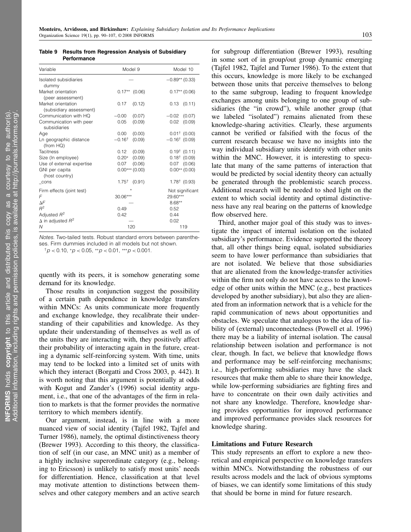Table 9 Results from Regression Analysis of Subsidiary **Performance** 

| Model 9                 | Model 10                    |
|-------------------------|-----------------------------|
|                         | $-0.89**$ (0.33)            |
| $0.17**$<br>(0.06)      | $0.17**$ (0.06)             |
| (0.12)<br>0.17          | (0.11)<br>0.13              |
| (0.07)<br>$-0.00$       | $-0.02$<br>(0.07)           |
| (0.09)<br>0.05          | (0.09)<br>0.02              |
| 0.00<br>(0.00)          | $0.01^{\dagger}$ (0.00)     |
| $-0.16†$<br>(0.09)      | $-0.16$ <sup>†</sup> (0.09) |
| 0.12<br>(0.09)          | $0.19†$ (0.11)              |
| (0.09)<br>$0.20*$       | $0.18†$ (0.09)              |
| (0.06)<br>0.07          | $0.07$ $(0.06)$             |
| $0.00***(0.00)$         | $0.00**$ (0.00)             |
| $1.75^{\dagger}$ (0.91) | $1.78†$ (0.93)              |
|                         | Not significant             |
| 30.06***                | 29.60***                    |
|                         | $8.68**$                    |
| 0.49                    | 0.52                        |
| 0.42                    | 0.44                        |
|                         | 0.02                        |
| 120                     | 119                         |
|                         |                             |

Notes. Two-tailed tests. Robust standard errors between parentheses. Firm dummies included in all models but not shown.

 $<sup>†</sup>p < 0.10, <sup>*</sup>p < 0.05, <sup>**</sup>p < 0.01, <sup>***</sup>p < 0.001.$ </sup>

quently with its peers, it is somehow generating some demand for its knowledge.

Those results in conjunction suggest the possibility of a certain path dependence in knowledge transfers within MNCs: As units communicate more frequently and exchange knowledge, they recalibrate their understanding of their capabilities and knowledge. As they update their understanding of themselves as well as of the units they are interacting with, they positively affect their probability of interacting again in the future, creating a dynamic self-reinforcing system. With time, units may tend to be locked into a limited set of units with which they interact (Borgatti and Cross 2003, p. 442). It is worth noting that this argument is potentially at odds with Kogut and Zander's (1996) social identity argument, i.e., that one of the advantages of the firm in relation to markets is that the former provides the normative territory to which members identify.

Our argument, instead, is in line with a more nuanced view of social identity (Tajfel 1982, Tajfel and Turner 1986), namely, the optimal distinctiveness theory (Brewer 1993). According to this theory, the classification of self (in our case, an MNC unit) as a member of a highly inclusive superordinate category (e.g., belonging to Ericsson) is unlikely to satisfy most units' needs for differentiation. Hence, classification at that level may motivate attention to distinctions between themselves and other category members and an active search

for subgroup differentiation (Brewer 1993), resulting in some sort of in group/out group dynamic emerging (Tajfel 1982, Tajfel and Turner 1986). To the extent that this occurs, knowledge is more likely to be exchanged between those units that perceive themselves to belong to the same subgroup, leading to frequent knowledge exchanges among units belonging to one group of subsidiaries (the "in crowd"), while another group (that we labeled "isolated") remains alienated from these knowledge-sharing activities. Clearly, these arguments cannot be verified or falsified with the focus of the current research because we have no insights into the way individual subsidiary units identify with other units within the MNC. However, it is interesting to speculate that many of the same patterns of interaction that would be predicted by social identity theory can actually be generated through the problemistic search process. Additional research will be needed to shed light on the extent to which social identity and optimal distinctiveness have any real bearing on the patterns of knowledge flow observed here.

Third, another major goal of this study was to investigate the impact of internal isolation on the isolated subsidiary's performance. Evidence supported the theory that, all other things being equal, isolated subsidiaries seem to have lower performance than subsidiaries that are not isolated. We believe that those subsidiaries that are alienated from the knowledge-transfer activities within the firm not only do not have access to the knowledge of other units within the MNC (e.g., best practices developed by another subsidiary), but also they are alienated from an information network that is a vehicle for the rapid communication of news about opportunities and obstacles. We speculate that analogous to the idea of liability of (external) unconnectedness (Powell et al. 1996) there may be a liability of internal isolation. The causal relationship between isolation and performance is not clear, though. In fact, we believe that knowledge flows and performance may be self-reinforcing mechanisms; i.e., high-performing subsidiaries may have the slack resources that make them able to share their knowledge, while low-performing subsidiaries are fighting fires and have to concentrate on their own daily activities and not share any knowledge. Therefore, knowledge sharing provides opportunities for improved performance and improved performance provides slack resources for knowledge sharing.

### Limitations and Future Research

This study represents an effort to explore a new theoretical and empirical perspective on knowledge transfers within MNCs. Notwithstanding the robustness of our results across models and the lack of obvious symptoms of biases, we can identify some limitations of this study that should be borne in mind for future research.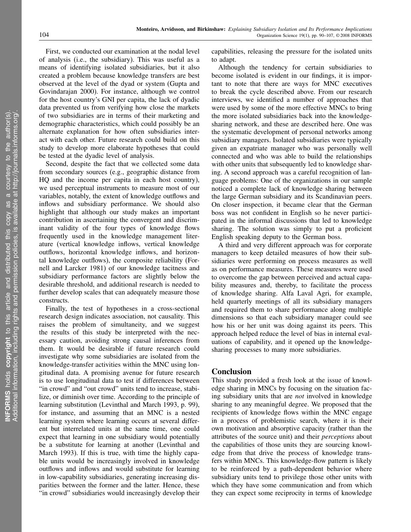First, we conducted our examination at the nodal level of analysis (i.e., the subsidiary). This was useful as a means of identifying isolated subsidiaries, but it also created a problem because knowledge transfers are best observed at the level of the dyad or system (Gupta and Govindarajan 2000). For instance, although we control for the host country's GNI per capita, the lack of dyadic data prevented us from verifying how close the markets of two subsidiaries are in terms of their marketing and demographic characteristics, which could possibly be an alternate explanation for how often subsidiaries interact with each other. Future research could build on this study to develop more elaborate hypotheses that could be tested at the dyadic level of analysis.

Second, despite the fact that we collected some data from secondary sources (e.g., geographic distance from HQ and the income per capita in each host country), we used perceptual instruments to measure most of our variables, notably, the extent of knowledge outflows and inflows and subsidiary performance. We should also highlight that although our study makes an important contribution in ascertaining the convergent and discriminant validity of the four types of knowledge flows frequently used in the knowledge management literature (vertical knowledge inflows, vertical knowledge outflows, horizontal knowledge inflows, and horizontal knowledge outflows), the composite reliability (Fornell and Larcker 1981) of our knowledge tacitness and subsidiary performance factors are slightly below the desirable threshold, and additional research is needed to further develop scales that can adequately measure those constructs.

Finally, the test of hypotheses in a cross-sectional research design indicates association, not causality. This raises the problem of simultaneity, and we suggest the results of this study be interpreted with the necessary caution, avoiding strong causal inferences from them. It would be desirable if future research could investigate why some subsidiaries are isolated from the knowledge-transfer activities within the MNC using longitudinal data. A promising avenue for future research is to use longitudinal data to test if differences between "in crowd" and "out crowd" units tend to increase, stabilize, or diminish over time. According to the principle of learning substitution (Levinthal and March 1993, p. 99), for instance, and assuming that an MNC is a nested learning system where learning occurs at several different but interrelated units at the same time, one could expect that learning in one subsidiary would potentially be a substitute for learning at another (Levinthal and March 1993). If this is true, with time the highly capable units would be increasingly involved in knowledge outflows and inflows and would substitute for learning in low-capability subsidiaries, generating increasing disparities between the former and the latter. Hence, these "in crowd" subsidiaries would increasingly develop their

capabilities, releasing the pressure for the isolated units to adapt.

Although the tendency for certain subsidiaries to become isolated is evident in our findings, it is important to note that there are ways for MNC executives to break the cycle described above. From our research interviews, we identified a number of approaches that were used by some of the more effective MNCs to bring the more isolated subsidiaries back into the knowledgesharing network, and these are described here. One was the systematic development of personal networks among subsidiary managers. Isolated subsidiaries were typically given an expatriate manager who was personally well connected and who was able to build the relationships with other units that subsequently led to knowledge sharing. A second approach was a careful recognition of language problems: One of the organizations in our sample noticed a complete lack of knowledge sharing between the large German subsidiary and its Scandinavian peers. On closer inspection, it became clear that the German boss was not confident in English so he never participated in the informal discussions that led to knowledge sharing. The solution was simply to put a proficient English speaking deputy to the German boss.

A third and very different approach was for corporate managers to keep detailed measures of how their subsidiaries were performing on process measures as well as on performance measures. These measures were used to overcome the gap between perceived and actual capability measures and, thereby, to facilitate the process of knowledge sharing. Alfa Laval Agri, for example, held quarterly meetings of all its subsidiary managers and required them to share performance along multiple dimensions so that each subsidiary manager could see how his or her unit was doing against its peers. This approach helped reduce the level of bias in internal evaluations of capability, and it opened up the knowledgesharing processes to many more subsidiaries.

# Conclusion

This study provided a fresh look at the issue of knowledge sharing in MNCs by focusing on the situation facing subsidiary units that are not involved in knowledge sharing to any meaningful degree. We proposed that the recipients of knowledge flows within the MNC engage in a process of problemistic search, where it is their own motivation and absorptive capacity (rather than the attributes of the source unit) and their perceptions about the capabilities of those units they are sourcing knowledge from that drive the process of knowledge transfers within MNCs. This knowledge-flow pattern is likely to be reinforced by a path-dependent behavior where subsidiary units tend to privilege those other units with which they have some communication and from which they can expect some reciprocity in terms of knowledge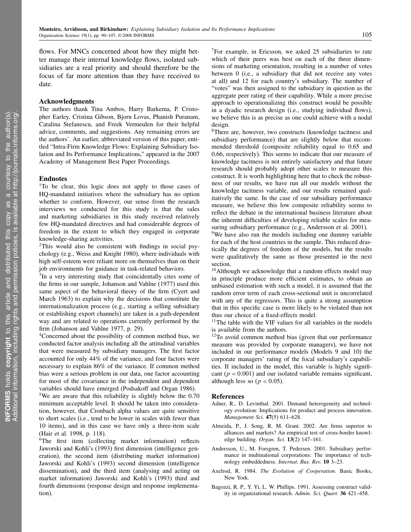flows. For MNCs concerned about how they might better manage their internal knowledge flows, isolated subsidiaries are a real priority and should therefore be the focus of far more attention than they have received to date.

#### Acknowledgments

The authors thank Tina Ambos, Harry Barkema, P. Cristopher Earley, Cristina Gibson, Bjorn Lovas, Phanish Puranam, Catalina Stefanescu, and Freek Vermeulen for their helpful advice, comments, and suggestions. Any remaining errors are the authors'. An earlier, abbreviated version of this paper, entitled "Intra-Firm Knowledge Flows: Explaining Subsidiary Isolation and Its Performance Implications," appeared in the 2007 Academy of Management Best Paper Proceedings.

#### Endnotes

<sup>1</sup>To be clear, this logic does not apply to those cases of HQ-mandated initiatives where the subsidiary has no option whether to conform. However, our sense from the research interviews we conducted for this study is that the sales and marketing subsidiaries in this study received relatively few HQ-mandated directives and had considerable degrees of freedom in the extent to which they engaged in corporate knowledge-sharing activities.

<sup>2</sup>This would also be consistent with findings in social psychology (e.g., Weiss and Knight 1980), where individuals with high self-esteem were reliant more on themselves than on their job environments for guidance in task-related behaviors.

<sup>3</sup>In a very interesting study that coincidentally cites some of the firms in our sample, Johanson and Vahlne (1977) used this same aspect of the behavioral theory of the firm (Cyert and March 1963) to explain why the decisions that constitute the internationalization process (e.g., starting a selling subsidiary or establishing export channels) are taken in a path-dependent way and are related to operations currently performed by the firm (Johanson and Vahlne 1977, p. 29).

4Concerned about the possibility of common method bias, we conducted factor analysis including all the attitudinal variables that were measured by subsidiary managers. The first factor accounted for only 44% of the variance, and four factors were necessary to explain 86% of the variance. If common method bias were a serious problem in our data, one factor accounting for most of the covariance in the independent and dependent variables should have emerged (Podsakoff and Organ 1986).

<sup>5</sup>We are aware that this reliability is slightly below the 0.70 minimum acceptable level. It should be taken into consideration, however, that Cronbach alpha values are quite sensitive to short scales (i.e., tend to be lower in scales with fewer than 10 items), and in this case we have only a three-item scale (Hair et al. 1998, p. 118).

<sup>6</sup>The first item (collecting market information) reflects Jaworski and Kohli's (1993) first dimension (intelligence generation), the second item (distributing market information) Jaworski and Kohli's (1993) second dimension (intelligence dissemination), and the third item (analysing and acting on market information) Jaworski and Kohli's (1993) third and fourth dimensions (response design and response implementation).

7For example, in Ericsson, we asked 25 subsidiaries to rate which of their peers was best on each of the three dimensions of marketing orientation, resulting in a number of votes between 0 (i.e., a subsidiary that did not receive any votes at all) and 12 for each country's subsidiary. The number of "votes" was then assigned to the subsidiary in question as the aggregate peer rating of their capability. While a more precise approach to operationalizing this construct would be possible in a dyadic research design (i.e., studying individual flows), we believe this is as precise as one could achieve with a nodal design.

8There are, however, two constructs (knowledge tacitness and subsidiary performance) that are slightly below that recommended threshold (composite reliability equal to 0.65 and 0.66, respectively). This seems to indicate that our measure of knowledge tacitness is not entirely satisfactory and that future research should probably adopt other scales to measure this construct. It is worth highlighting here that to check the robustness of our results, we have run all our models without the knowledge tacitness variable, and our results remained qualitatively the same. In the case of our subsidiary performance measure, we believe this low composite reliability seems to reflect the debate in the international business literature about the inherent difficulties of developing reliable scales for measuring subsidiary performance (e.g., Andersson et al. 2001).

<sup>9</sup>We have also run the models including one dummy variable for each of the host countries in the sample. This reduced drastically the degrees of freedom of the models, but the results were qualitatively the same as those presented in the next section.

<sup>10</sup>Although we acknowledge that a random effects model may in principle produce more efficient estimates, to obtain an unbiased estimation with such a model, it is assumed that the random error term of each cross-sectional unit is uncorrelated with any of the regressors. This is quite a strong assumption that in this specific case is more likely to be violated than not thus our choice of a fixed-effects model.

 $11$ The table with the VIF values for all variables in the models is available from the authors.

 $12$ To avoid common method bias (given that our performance measure was provided by corporate managers), we have not included in our performance models (Models 9 and 10) the corporate managers' rating of the focal subsidiary's capabilities. If included in the model, this variable is highly significant ( $p < 0.001$ ) and our isolated variable remains significant, although less so  $(p < 0.05)$ .

#### References

- Adner, R., D. Levinthal. 2001. Demand heterogeneity and technology evolution: Implications for product and process innovation. Management Sci. 47(5) 611–628.
- Almeida, P., J. Song, R. M. Grant. 2002. Are firms superior to alliances and markets? An empirical test of cross-border knowledge building. Organ. Sci. 13(2) 147–161.
- Andersson, U., M. Forsgren, T. Pedersen. 2001. Subsidiary performance in multinational corporations: The importance of technology embeddedness. Internat. Bus. Rev. 10 3–23.
- Axelrod, R. 1984. The Evolution of Cooperation. Basic Books, New York.
- Bagozzi, R. P., Y. Yi, L. W. Phillips. 1991. Assessing construct validity in organizational research. Admin. Sci. Quart. 36 421–458.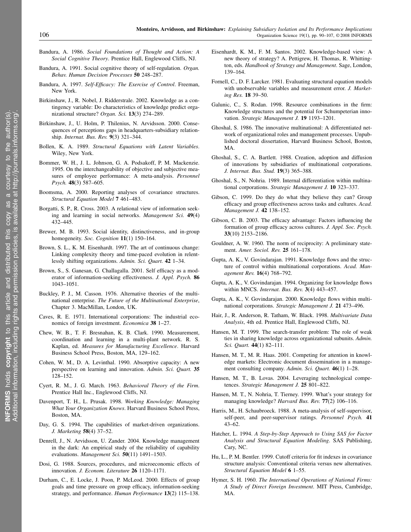- Bandura, A. 1986. Social Foundations of Thought and Action: A Social Cognitive Theory. Prentice Hall, Englewood Cliffs, NJ.
- Bandura, A. 1991. Social cognitive theory of self-regulation. Organ. Behav. Human Decision Processes 50 248–287.
- Bandura, A. 1997. Self-Efficacy: The Exercise of Control. Freeman, New York.
- Birkinshaw, J., R. Nobel, J. Ridderstrale. 2002. Knowledge as a contingency variable: Do characteristics of knowledge predict organizational structure? Organ. Sci. 13(3) 274-289.
- Birkinshaw, J., U. Holm, P. Thilenius, N. Arvidsson. 2000. Consequences of perceptions gaps in headquarters-subsidiary relationship. Internat. Bus. Rev. 9(3) 321–344.
- Bollen, K. A. 1989. Structural Equations with Latent Variables. Wiley, New York.
- Bommer, W. H., J. L. Johnson, G. A. Podsakoff, P. M. Mackenzie. 1995. On the interchangeability of objective and subjective measures of employee performance: A meta-analysis. Personnel Psych. 48(3) 587–605.
- Boomsma, A. 2000. Reporting analyses of covariance structures. Structural Equation Model 7 461–483.
- Borgatti, S. P., R. Cross. 2003. A relational view of information seeking and learning in social networks. Management Sci. 49(4) 432–445.
- Brewer, M. B. 1993. Social identity, distinctiveness, and in-group homogeneity. Soc. Cognition 11(1) 150-164.
- Brown, S. L., K. M. Eisenhardt. 1997. The art of continuous change: Linking complexity theory and time-paced evolution in relentlessly shifting organizations. Admin. Sci. Quart. 42 1–34.
- Brown, S., S. Ganesan, G. Challagalla. 2001. Self efficacy as a moderator of information-seeking effectiveness. J. Appl. Psych. 86 1043–1051.
- Buckley, P. J., M. Casson. 1976. Alternative theories of the multinational enterprise. The Future of the Multinational Enterprise, Chapter 3. MacMillan, London, UK.
- Caves, R. E. 1971. International corporations: The industrial economics of foreign investment. *Economica* 38 1–27.
- Chew, W. B., T. F. Bresnahan, K. B. Clark. 1990. Measurement, coordination and learning in a multi-plant network. R. S. Kaplan, ed. Measures for Manufacturing Excellence. Harvard Business School Press, Boston, MA, 129–162.
- Cohen, W. M., D. A. Levinthal. 1990. Absorptive capacity: A new perspective on learning and innovation. Admin. Sci. Quart. 35 128–152.
- Cyert, R. M., J. G. March. 1963. Behavioral Theory of the Firm. Prentice Hall Inc., Englewood Cliffs, NJ.
- Davenport, T. H., L. Prusak. 1998. Working Knowledge: Managing What Your Organization Knows. Harvard Business School Press, Boston, MA.
- Day, G. S. 1994. The capabilities of market-driven organizations. J. Marketing 58(4) 37–52.
- Denrell, J., N. Arvidsson, U. Zander. 2004. Knowledge management in the dark: An empirical study of the reliability of capability evaluations. Management Sci. 50(11) 1491-1503.
- Dosi, G. 1988. Sources, procedures, and microeconomic effects of innovation. J. Econom. Literature 26 1120–1171.
- Durham, C., E. Locke, J. Poon, P. McLeod. 2000. Effects of group goals and time pressure on group efficacy, information-seeking strategy, and performance. Human Performance 13(2) 115-138.
- Eisenhardt, K. M., F. M. Santos. 2002. Knowledge-based view: A new theory of strategy? A. Pettigrew, H. Thomas, R. Whittington, eds. Handbook of Strategy and Management. Sage, London, 139–164.
- Fornell, C., D. F. Larcker. 1981. Evaluating structural equation models with unobservable variables and measurement error. J. Marketing Res. 18 39–50.
- Galunic, C., S. Rodan. 1998. Resource combinations in the firm: Knowledge structures and the potential for Schumpeterian innovation. Strategic Management J. 19 1193–1201.
- Ghoshal, S. 1986. The innovative multinational: A differentiated network of organizational roles and management processes. Unpublished doctoral dissertation, Harvard Business School, Boston, MA.
- Ghoshal, S., C. A. Bartlett. 1988. Creation, adoption and diffusion of innovations by subsidiaries of multinational corporations. J. Internat. Bus. Stud. 19(3) 365–388.
- Ghoshal, S., N. Nohria. 1989. Internal differentiation within multinational corporations. Strategic Management J. 10 323-337.
- Gibson, C. 1999. Do they do what they believe they can? Group efficacy and group effectiveness across tasks and cultures. Acad. Management J. 42 138–152.
- Gibson, C. B. 2003. The efficacy advantage: Factors influencing the formation of group efficacy across cultures. J. Appl. Soc. Psych. 33(10) 2153–2186.
- Gouldner, A. W. 1960. The norm of reciprocity: A preliminary statement. Amer. Sociol. Rev. 25 161–178.
- Gupta, A. K., V. Govindarajan. 1991. Knowledge flows and the structure of control within multinational corporations. Acad. Management Rev. 16(4) 768–792.
- Gupta, A. K., V. Govindarajan. 1994. Organizing for knowledge flows within MNCS. Internat. Bus. Rev. 3(4) 443–457.
- Gupta, A. K., V. Govindarajan. 2000. Knowledge flows within multinational corporations. Strategic Management J. 21 473–496.
- Hair, J., R. Anderson, R. Tatham, W. Black. 1998. Multivariate Data Analysis, 4th ed. Prentice Hall, Englewood Cliffs, NJ.
- Hansen, M. T. 1999. The search-transfer problem: The role of weak ties in sharing knowledge across organizational subunits. Admin. Sci. Quart. 44(1) 82–111.
- Hansen, M. T., M. R. Haas. 2001. Competing for attention in knowledge markets: Electronic document dissemination in a management consulting company. Admin. Sci. Quart. 46(1) 1-28.
- Hansen, M. T., B. Lovas. 2004. Leveraging technological competences. Strategic Management J. 25 801–822.
- Hansen, M. T., N. Nohria, T. Tierney. 1999. What's your strategy for managing knowledge? Harvard Bus. Rev. 77(2) 106–116.
- Harris, M., H. Schaubroeck. 1988. A meta-analysis of self-supervisor, self-peer, and peer-supervisor ratings. Personnel Psych. 41 43–62.
- Hatcher, L. 1994. A Step-by-Step Approach to Using SAS for Factor Analysis and Structural Equation Modeling. SAS Publishing, Cary, NC.
- Hu, L., P. M. Bentler. 1999. Cutoff criteria for fit indexes in covariance structure analysis: Conventional criteria versus new alternatives. Structural Equation Model 6 1–55.
- Hymer, S. H. 1960. The International Operations of National Firms: A Study of Direct Foreign Investment. MIT Press, Cambridge, MA.